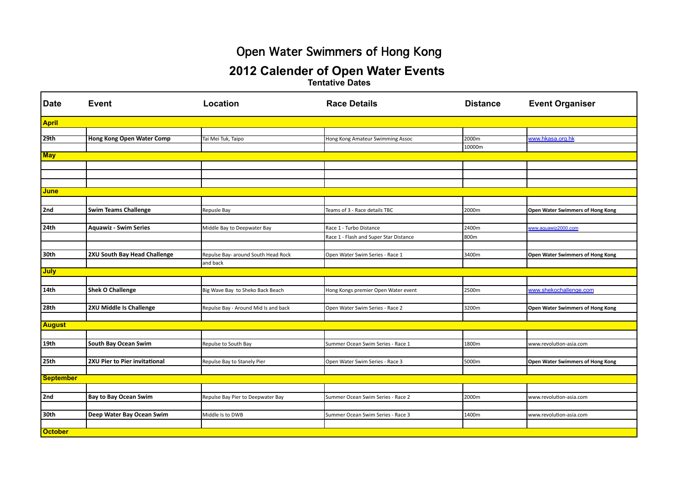# Open Water Swimmers of Hong Kong

#### **2012 Calender of Open Water Events**

**Tentative Dates**

| Date             | <b>Event</b>                     | Location                             | <b>Race Details</b>                    | <b>Distance</b> | <b>Event Organiser</b>           |  |  |  |  |
|------------------|----------------------------------|--------------------------------------|----------------------------------------|-----------------|----------------------------------|--|--|--|--|
| <b>April</b>     |                                  |                                      |                                        |                 |                                  |  |  |  |  |
|                  |                                  |                                      |                                        |                 |                                  |  |  |  |  |
| 29th             | <b>Hong Kong Open Water Comp</b> | Tai Mei Tuk, Taipo                   | Hong Kong Amateur Swimming Assoc       | 2000m           | www.hkasa.org.hk                 |  |  |  |  |
|                  |                                  |                                      |                                        | 10000m          |                                  |  |  |  |  |
| <b>May</b>       |                                  |                                      |                                        |                 |                                  |  |  |  |  |
|                  |                                  |                                      |                                        |                 |                                  |  |  |  |  |
|                  |                                  |                                      |                                        |                 |                                  |  |  |  |  |
|                  |                                  |                                      |                                        |                 |                                  |  |  |  |  |
| <b>June</b>      |                                  |                                      |                                        |                 |                                  |  |  |  |  |
|                  |                                  |                                      |                                        |                 |                                  |  |  |  |  |
| 2nd              | <b>Swim Teams Challenge</b>      | Repusle Bay                          | Teams of 3 - Race details TBC          | 2000m           | Open Water Swimmers of Hong Kong |  |  |  |  |
|                  |                                  |                                      |                                        |                 |                                  |  |  |  |  |
| 24th             | <b>Aquawiz - Swim Series</b>     | Middle Bay to Deepwater Bay          | Race 1 - Turbo Distance                | 2400m           | www.aguawiz2000.com              |  |  |  |  |
|                  |                                  |                                      | Race 1 - Flash and Super Star Distance | 800m            |                                  |  |  |  |  |
|                  |                                  |                                      |                                        |                 |                                  |  |  |  |  |
| 30th             | 2XU South Bay Head Challenge     | Repulse Bay- around South Head Rock  | Open Water Swim Series - Race 1        | 3400m           | Open Water Swimmers of Hong Kong |  |  |  |  |
|                  |                                  | and back                             |                                        |                 |                                  |  |  |  |  |
| <b>July</b>      |                                  |                                      |                                        |                 |                                  |  |  |  |  |
|                  |                                  |                                      |                                        |                 |                                  |  |  |  |  |
| <b>14th</b>      | <b>Shek O Challenge</b>          | Big Wave Bay to Sheko Back Beach     | Hong Kongs premier Open Water event    | 2500m           | www.shekochallenge.com           |  |  |  |  |
|                  |                                  |                                      |                                        |                 |                                  |  |  |  |  |
| 28th             | 2XU Middle Is Challenge          | Repulse Bay - Around Mid Is and back | Open Water Swim Series - Race 2        | 3200m           | Open Water Swimmers of Hong Kong |  |  |  |  |
|                  |                                  |                                      |                                        |                 |                                  |  |  |  |  |
| <b>August</b>    |                                  |                                      |                                        |                 |                                  |  |  |  |  |
|                  |                                  |                                      |                                        |                 |                                  |  |  |  |  |
| 19 <sub>th</sub> | South Bay Ocean Swim             | Repulse to South Bay                 | Summer Ocean Swim Series - Race 1      | 1800m           | www.revolution-asia.com          |  |  |  |  |
|                  |                                  |                                      |                                        |                 |                                  |  |  |  |  |
| 25th             | 2XU Pier to Pier invitational    | Repulse Bay to Stanely Pier          | Open Water Swim Series - Race 3        | 5000m           | Open Water Swimmers of Hong Kong |  |  |  |  |
|                  |                                  |                                      |                                        |                 |                                  |  |  |  |  |
| <b>September</b> |                                  |                                      |                                        |                 |                                  |  |  |  |  |
|                  |                                  |                                      |                                        |                 |                                  |  |  |  |  |
| 2nd              | <b>Bay to Bay Ocean Swim</b>     | Repulse Bay Pier to Deepwater Bay    | Summer Ocean Swim Series - Race 2      | 2000m           | www.revolution-asia.com          |  |  |  |  |
|                  |                                  |                                      |                                        |                 |                                  |  |  |  |  |
| 30th             | Deep Water Bay Ocean Swim        | Middle Is to DWB                     | Summer Ocean Swim Series - Race 3      | 1400m           | www.revolution-asia.com          |  |  |  |  |
|                  |                                  |                                      |                                        |                 |                                  |  |  |  |  |
| <b>October</b>   |                                  |                                      |                                        |                 |                                  |  |  |  |  |
|                  |                                  |                                      |                                        |                 |                                  |  |  |  |  |